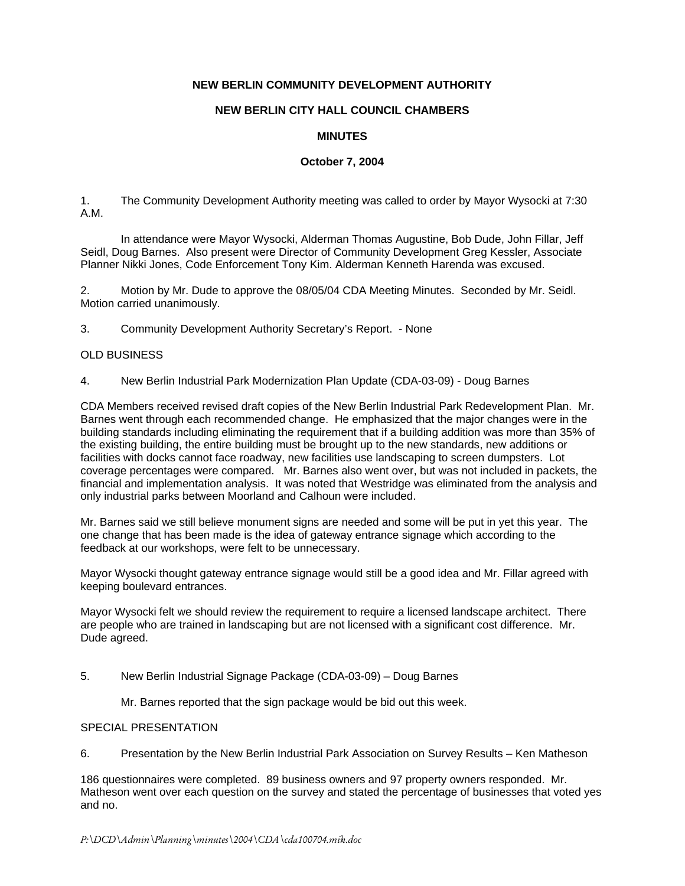## **NEW BERLIN COMMUNITY DEVELOPMENT AUTHORITY**

# **NEW BERLIN CITY HALL COUNCIL CHAMBERS**

## **MINUTES**

## **October 7, 2004**

1. The Community Development Authority meeting was called to order by Mayor Wysocki at 7:30 A.M.

In attendance were Mayor Wysocki, Alderman Thomas Augustine, Bob Dude, John Fillar, Jeff Seidl, Doug Barnes. Also present were Director of Community Development Greg Kessler, Associate Planner Nikki Jones, Code Enforcement Tony Kim. Alderman Kenneth Harenda was excused.

2. Motion by Mr. Dude to approve the 08/05/04 CDA Meeting Minutes. Seconded by Mr. Seidl. Motion carried unanimously.

3. Community Development Authority Secretary's Report. - None

#### OLD BUSINESS

4. New Berlin Industrial Park Modernization Plan Update (CDA-03-09) - Doug Barnes

CDA Members received revised draft copies of the New Berlin Industrial Park Redevelopment Plan. Mr. Barnes went through each recommended change. He emphasized that the major changes were in the building standards including eliminating the requirement that if a building addition was more than 35% of the existing building, the entire building must be brought up to the new standards, new additions or facilities with docks cannot face roadway, new facilities use landscaping to screen dumpsters. Lot coverage percentages were compared. Mr. Barnes also went over, but was not included in packets, the financial and implementation analysis. It was noted that Westridge was eliminated from the analysis and only industrial parks between Moorland and Calhoun were included.

Mr. Barnes said we still believe monument signs are needed and some will be put in yet this year. The one change that has been made is the idea of gateway entrance signage which according to the feedback at our workshops, were felt to be unnecessary.

Mayor Wysocki thought gateway entrance signage would still be a good idea and Mr. Fillar agreed with keeping boulevard entrances.

Mayor Wysocki felt we should review the requirement to require a licensed landscape architect. There are people who are trained in landscaping but are not licensed with a significant cost difference. Mr. Dude agreed.

5. New Berlin Industrial Signage Package (CDA-03-09) – Doug Barnes

Mr. Barnes reported that the sign package would be bid out this week.

## SPECIAL PRESENTATION

6. Presentation by the New Berlin Industrial Park Association on Survey Results – Ken Matheson

186 questionnaires were completed. 89 business owners and 97 property owners responded. Mr. Matheson went over each question on the survey and stated the percentage of businesses that voted yes and no.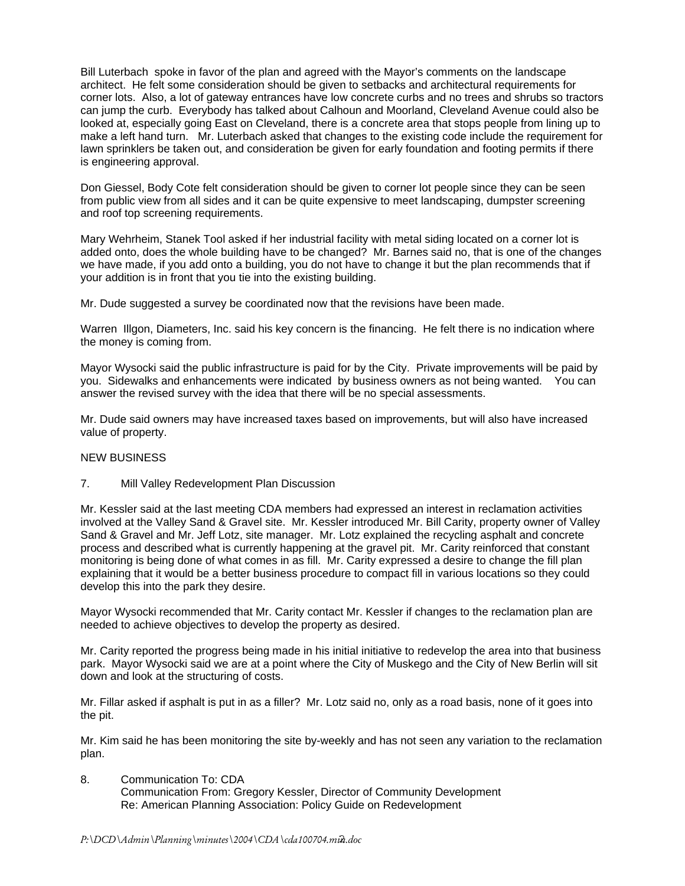Bill Luterbach spoke in favor of the plan and agreed with the Mayor's comments on the landscape architect. He felt some consideration should be given to setbacks and architectural requirements for corner lots. Also, a lot of gateway entrances have low concrete curbs and no trees and shrubs so tractors can jump the curb. Everybody has talked about Calhoun and Moorland, Cleveland Avenue could also be looked at, especially going East on Cleveland, there is a concrete area that stops people from lining up to make a left hand turn. Mr. Luterbach asked that changes to the existing code include the requirement for lawn sprinklers be taken out, and consideration be given for early foundation and footing permits if there is engineering approval.

Don Giessel, Body Cote felt consideration should be given to corner lot people since they can be seen from public view from all sides and it can be quite expensive to meet landscaping, dumpster screening and roof top screening requirements.

Mary Wehrheim, Stanek Tool asked if her industrial facility with metal siding located on a corner lot is added onto, does the whole building have to be changed? Mr. Barnes said no, that is one of the changes we have made, if you add onto a building, you do not have to change it but the plan recommends that if your addition is in front that you tie into the existing building.

Mr. Dude suggested a survey be coordinated now that the revisions have been made.

Warren Illgon, Diameters, Inc. said his key concern is the financing. He felt there is no indication where the money is coming from.

Mayor Wysocki said the public infrastructure is paid for by the City. Private improvements will be paid by you. Sidewalks and enhancements were indicated by business owners as not being wanted. You can answer the revised survey with the idea that there will be no special assessments.

Mr. Dude said owners may have increased taxes based on improvements, but will also have increased value of property.

## NEW BUSINESS

## 7. Mill Valley Redevelopment Plan Discussion

Mr. Kessler said at the last meeting CDA members had expressed an interest in reclamation activities involved at the Valley Sand & Gravel site. Mr. Kessler introduced Mr. Bill Carity, property owner of Valley Sand & Gravel and Mr. Jeff Lotz, site manager. Mr. Lotz explained the recycling asphalt and concrete process and described what is currently happening at the gravel pit. Mr. Carity reinforced that constant monitoring is being done of what comes in as fill. Mr. Carity expressed a desire to change the fill plan explaining that it would be a better business procedure to compact fill in various locations so they could develop this into the park they desire.

Mayor Wysocki recommended that Mr. Carity contact Mr. Kessler if changes to the reclamation plan are needed to achieve objectives to develop the property as desired.

Mr. Carity reported the progress being made in his initial initiative to redevelop the area into that business park. Mayor Wysocki said we are at a point where the City of Muskego and the City of New Berlin will sit down and look at the structuring of costs.

Mr. Fillar asked if asphalt is put in as a filler? Mr. Lotz said no, only as a road basis, none of it goes into the pit.

Mr. Kim said he has been monitoring the site by-weekly and has not seen any variation to the reclamation plan.

8. Communication To: CDA Communication From: Gregory Kessler, Director of Community Development Re: American Planning Association: Policy Guide on Redevelopment